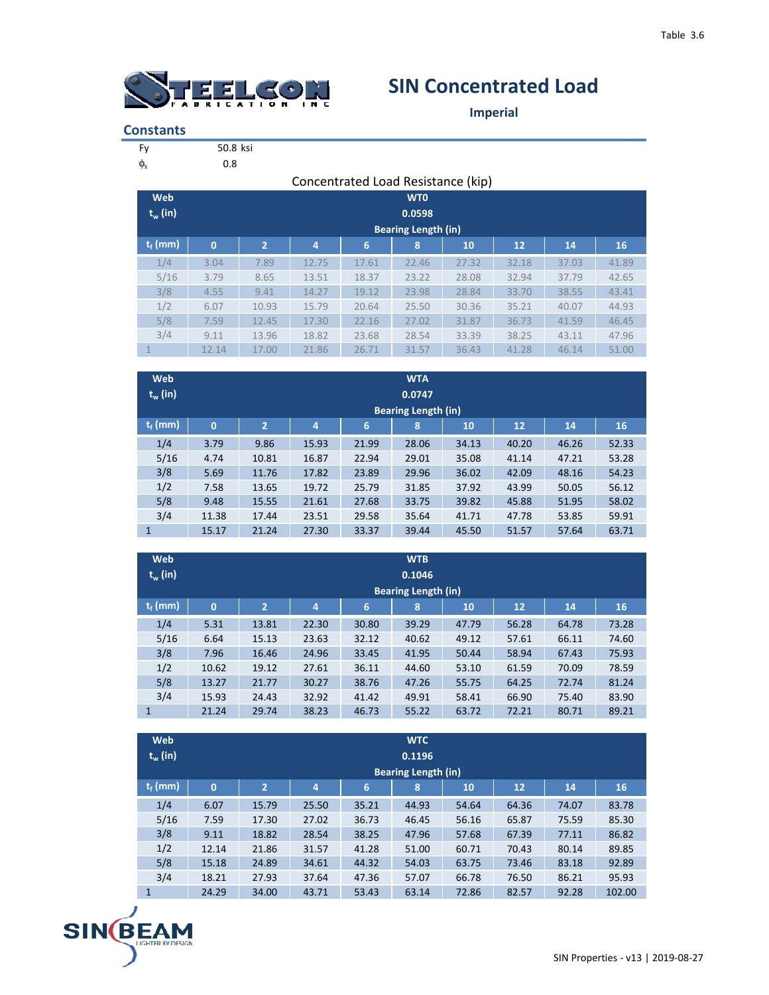

## **SIN Concentrated Load**

**Imperial**

| <b>Constants</b> |  |
|------------------|--|
|------------------|--|

| Fy | 50.8 ksi |
|----|----------|
|    | 0.8      |

| Concentrated Load Resistance (kip)        |            |                |       |       |                            |       |       |       |       |  |  |
|-------------------------------------------|------------|----------------|-------|-------|----------------------------|-------|-------|-------|-------|--|--|
| Web                                       | <b>WTO</b> |                |       |       |                            |       |       |       |       |  |  |
| $t_w$ (in)                                |            | 0.0598         |       |       |                            |       |       |       |       |  |  |
|                                           |            |                |       |       | <b>Bearing Length (in)</b> |       |       |       |       |  |  |
| $\overline{\mathsf{t}_{\mathsf{f}}}$ (mm) | $\Omega$   | $\overline{2}$ | 4     | 6     | 8                          | 10    | 12    | 14    | 16    |  |  |
| 1/4                                       | 3.04       | 7.89           | 12.75 | 17.61 | 22.46                      | 27.32 | 32.18 | 37.03 | 41.89 |  |  |
| 5/16                                      | 3.79       | 8.65           | 13.51 | 18.37 | 23.22                      | 28.08 | 32.94 | 37.79 | 42.65 |  |  |
| 3/8                                       | 4.55       | 9.41           | 14.27 | 19.12 | 23.98                      | 28.84 | 33.70 | 38.55 | 43.41 |  |  |
| 1/2                                       | 6.07       | 10.93          | 15.79 | 20.64 | 25.50                      | 30.36 | 35.21 | 40.07 | 44.93 |  |  |
| 5/8                                       | 7.59       | 12.45          | 17.30 | 22.16 | 27.02                      | 31.87 | 36.73 | 41.59 | 46.45 |  |  |
| 3/4                                       | 9.11       | 13.96          | 18.82 | 23.68 | 28.54                      | 33.39 | 38.25 | 43.11 | 47.96 |  |  |
|                                           | 12.14      | 17.00          | 21.86 | 26.71 | 31.57                      | 36.43 | 41.28 | 46.14 | 51.00 |  |  |

| <b>Web</b>                     | <b>WTA</b>     |                |       |       |                            |       |       |       |       |  |  |
|--------------------------------|----------------|----------------|-------|-------|----------------------------|-------|-------|-------|-------|--|--|
| $t_w$ (in)                     | 0.0747         |                |       |       |                            |       |       |       |       |  |  |
|                                |                |                |       |       | <b>Bearing Length (in)</b> |       |       |       |       |  |  |
| $\mathbf{t}_{\mathsf{f}}$ (mm) | $\overline{0}$ | $\overline{2}$ | 4     | 6     | 8                          | 10    | 12    | 14    | 16    |  |  |
| 1/4                            | 3.79           | 9.86           | 15.93 | 21.99 | 28.06                      | 34.13 | 40.20 | 46.26 | 52.33 |  |  |
| 5/16                           | 4.74           | 10.81          | 16.87 | 22.94 | 29.01                      | 35.08 | 41.14 | 47.21 | 53.28 |  |  |
| 3/8                            | 5.69           | 11.76          | 17.82 | 23.89 | 29.96                      | 36.02 | 42.09 | 48.16 | 54.23 |  |  |
| 1/2                            | 7.58           | 13.65          | 19.72 | 25.79 | 31.85                      | 37.92 | 43.99 | 50.05 | 56.12 |  |  |
| 5/8                            | 9.48           | 15.55          | 21.61 | 27.68 | 33.75                      | 39.82 | 45.88 | 51.95 | 58.02 |  |  |
| 3/4                            | 11.38          | 17.44          | 23.51 | 29.58 | 35.64                      | 41.71 | 47.78 | 53.85 | 59.91 |  |  |
| 1                              | 15.17          | 21.24          | 27.30 | 33.37 | 39.44                      | 45.50 | 51.57 | 57.64 | 63.71 |  |  |

| <b>Web</b>   | <b>WTB</b>     |                |       |       |                            |       |       |       |       |  |  |
|--------------|----------------|----------------|-------|-------|----------------------------|-------|-------|-------|-------|--|--|
| $t_w$ (in)   | 0.1046         |                |       |       |                            |       |       |       |       |  |  |
|              |                |                |       |       | <b>Bearing Length (in)</b> |       |       |       |       |  |  |
| $t_f$ (mm)   | $\overline{0}$ | $\overline{2}$ | 4     | 6     | 8                          | 10    | 12    | 14    | 16    |  |  |
| 1/4          | 5.31           | 13.81          | 22.30 | 30.80 | 39.29                      | 47.79 | 56.28 | 64.78 | 73.28 |  |  |
| 5/16         | 6.64           | 15.13          | 23.63 | 32.12 | 40.62                      | 49.12 | 57.61 | 66.11 | 74.60 |  |  |
| 3/8          | 7.96           | 16.46          | 24.96 | 33.45 | 41.95                      | 50.44 | 58.94 | 67.43 | 75.93 |  |  |
| 1/2          | 10.62          | 19.12          | 27.61 | 36.11 | 44.60                      | 53.10 | 61.59 | 70.09 | 78.59 |  |  |
| 5/8          | 13.27          | 21.77          | 30.27 | 38.76 | 47.26                      | 55.75 | 64.25 | 72.74 | 81.24 |  |  |
| 3/4          | 15.93          | 24.43          | 32.92 | 41.42 | 49.91                      | 58.41 | 66.90 | 75.40 | 83.90 |  |  |
| $\mathbf{1}$ | 21.24          | 29.74          | 38.23 | 46.73 | 55.22                      | 63.72 | 72.21 | 80.71 | 89.21 |  |  |

| Web<br>$t_w$ (in) | <b>WTC</b><br>0.1196 |                |       |       |                            |       |       |       |        |  |  |  |
|-------------------|----------------------|----------------|-------|-------|----------------------------|-------|-------|-------|--------|--|--|--|
|                   |                      |                |       |       | <b>Bearing Length (in)</b> |       |       |       |        |  |  |  |
| $t_f$ (mm)        | $\mathbf 0$          | $\overline{2}$ | 4     | 6     | 8                          | 10    | 12    | 14    | 16     |  |  |  |
| 1/4               | 6.07                 | 15.79          | 25.50 | 35.21 | 44.93                      | 54.64 | 64.36 | 74.07 | 83.78  |  |  |  |
| 5/16              | 7.59                 | 17.30          | 27.02 | 36.73 | 46.45                      | 56.16 | 65.87 | 75.59 | 85.30  |  |  |  |
| 3/8               | 9.11                 | 18.82          | 28.54 | 38.25 | 47.96                      | 57.68 | 67.39 | 77.11 | 86.82  |  |  |  |
| 1/2               | 12.14                | 21.86          | 31.57 | 41.28 | 51.00                      | 60.71 | 70.43 | 80.14 | 89.85  |  |  |  |
| 5/8               | 15.18                | 24.89          | 34.61 | 44.32 | 54.03                      | 63.75 | 73.46 | 83.18 | 92.89  |  |  |  |
| 3/4               | 18.21                | 27.93          | 37.64 | 47.36 | 57.07                      | 66.78 | 76.50 | 86.21 | 95.93  |  |  |  |
| $\mathbf{1}$      | 24.29                | 34.00          | 43.71 | 53.43 | 63.14                      | 72.86 | 82.57 | 92.28 | 102.00 |  |  |  |